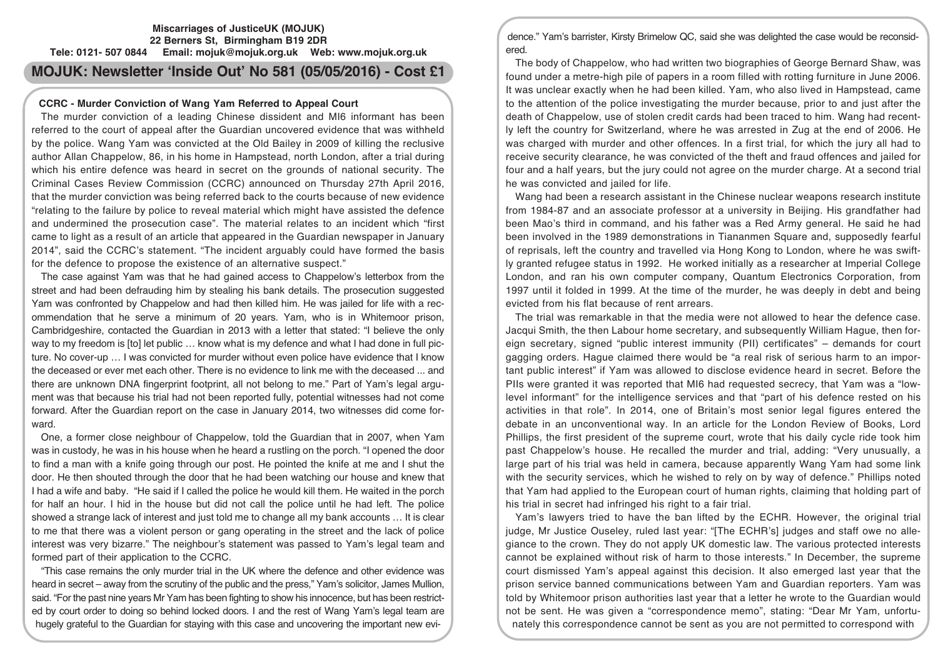### **Miscarriages of JusticeUK (MOJUK) 22 Berners St, Birmingham B19 2DR Tele: 0121- 507 0844 Email: mojuk@mojuk.org.uk Web: www.mojuk.org.uk**

# **MOJUK: Newsletter 'Inside Out' No 581 (05/05/2016) - Cost £1**

# **CCRC - Murder Conviction of Wang Yam Referred to Appeal Court**

The murder conviction of a leading Chinese dissident and MI6 informant has been referred to the court of appeal after the Guardian uncovered evidence that was withheld by the police. Wang Yam was convicted at the Old Bailey in 2009 of killing the reclusive author Allan Chappelow, 86, in his home in Hampstead, north London, after a trial during which his entire defence was heard in secret on the grounds of national security. The Criminal Cases Review Commission (CCRC) announced on Thursday 27th April 2016, that the murder conviction was being referred back to the courts because of new evidence "relating to the failure by police to reveal material which might have assisted the defence and undermined the prosecution case". The material relates to an incident which "first came to light as a result of an article that appeared in the Guardian newspaper in January 2014", said the CCRC's statement. "The incident arguably could have formed the basis for the defence to propose the existence of an alternative suspect."

The case against Yam was that he had gained access to Chappelow's letterbox from the street and had been defrauding him by stealing his bank details. The prosecution suggested Yam was confronted by Chappelow and had then killed him. He was jailed for life with a recommendation that he serve a minimum of 20 years. Yam, who is in Whitemoor prison, Cambridgeshire, contacted the Guardian in 2013 with a letter that stated: "I believe the only way to my freedom is [to] let public … know what is my defence and what I had done in full picture. No cover-up … I was convicted for murder without even police have evidence that I know the deceased or ever met each other. There is no evidence to link me with the deceased ... and there are unknown DNA fingerprint footprint, all not belong to me." Part of Yam's legal argument was that because his trial had not been reported fully, potential witnesses had not come forward. After the Guardian report on the case in January 2014, two witnesses did come forward.

One, a former close neighbour of Chappelow, told the Guardian that in 2007, when Yam was in custody, he was in his house when he heard a rustling on the porch. "I opened the door to find a man with a knife going through our post. He pointed the knife at me and I shut the door. He then shouted through the door that he had been watching our house and knew that I had a wife and baby. "He said if I called the police he would kill them. He waited in the porch for half an hour. I hid in the house but did not call the police until he had left. The police showed a strange lack of interest and just told me to change all my bank accounts … It is clear to me that there was a violent person or gang operating in the street and the lack of police interest was very bizarre." The neighbour's statement was passed to Yam's legal team and formed part of their application to the CCRC.

"This case remains the only murder trial in the UK where the defence and other evidence was heard in secret – away from the scrutiny of the public and the press," Yam's solicitor, James Mullion, said. "For the past nine years Mr Yam has been fighting to show his innocence, but has been restricted by court order to doing so behind locked doors. I and the rest of Wang Yam's legal team are hugely grateful to the Guardian for staying with this case and uncovering the important new evi-

dence." Yam's barrister, Kirsty Brimelow QC, said she was delighted the case would be reconsidered.

The body of Chappelow, who had written two biographies of George Bernard Shaw, was found under a metre-high pile of papers in a room filled with rotting furniture in June 2006. It was unclear exactly when he had been killed. Yam, who also lived in Hampstead, came to the attention of the police investigating the murder because, prior to and just after the death of Chappelow, use of stolen credit cards had been traced to him. Wang had recently left the country for Switzerland, where he was arrested in Zug at the end of 2006. He was charged with murder and other offences. In a first trial, for which the jury all had to receive security clearance, he was convicted of the theft and fraud offences and jailed for four and a half years, but the jury could not agree on the murder charge. At a second trial he was convicted and jailed for life.

Wang had been a research assistant in the Chinese nuclear weapons research institute from 1984-87 and an associate professor at a university in Beijing. His grandfather had been Mao's third in command, and his father was a Red Army general. He said he had been involved in the 1989 demonstrations in Tiananmen Square and, supposedly fearful of reprisals, left the country and travelled via Hong Kong to London, where he was swiftly granted refugee status in 1992. He worked initially as a researcher at Imperial College London, and ran his own computer company, Quantum Electronics Corporation, from 1997 until it folded in 1999. At the time of the murder, he was deeply in debt and being evicted from his flat because of rent arrears.

The trial was remarkable in that the media were not allowed to hear the defence case. Jacqui Smith, the then Labour home secretary, and subsequently William Hague, then foreign secretary, signed "public interest immunity (PII) certificates" – demands for court gagging orders. Hague claimed there would be "a real risk of serious harm to an important public interest" if Yam was allowed to disclose evidence heard in secret. Before the PIIs were granted it was reported that MI6 had requested secrecy, that Yam was a "lowlevel informant" for the intelligence services and that "part of his defence rested on his activities in that role". In 2014, one of Britain's most senior legal figures entered the debate in an unconventional way. In an article for the London Review of Books, Lord Phillips, the first president of the supreme court, wrote that his daily cycle ride took him past Chappelow's house. He recalled the murder and trial, adding: "Very unusually, a large part of his trial was held in camera, because apparently Wang Yam had some link with the security services, which he wished to rely on by way of defence." Phillips noted that Yam had applied to the European court of human rights, claiming that holding part of his trial in secret had infringed his right to a fair trial.

Yam's lawyers tried to have the ban lifted by the ECHR. However, the original trial judge, Mr Justice Ouseley, ruled last year: "[The ECHR's] judges and staff owe no allegiance to the crown. They do not apply UK domestic law. The various protected interests cannot be explained without risk of harm to those interests." In December, the supreme court dismissed Yam's appeal against this decision. It also emerged last year that the prison service banned communications between Yam and Guardian reporters. Yam was told by Whitemoor prison authorities last year that a letter he wrote to the Guardian would not be sent. He was given a "correspondence memo", stating: "Dear Mr Yam, unfortunately this correspondence cannot be sent as you are not permitted to correspond with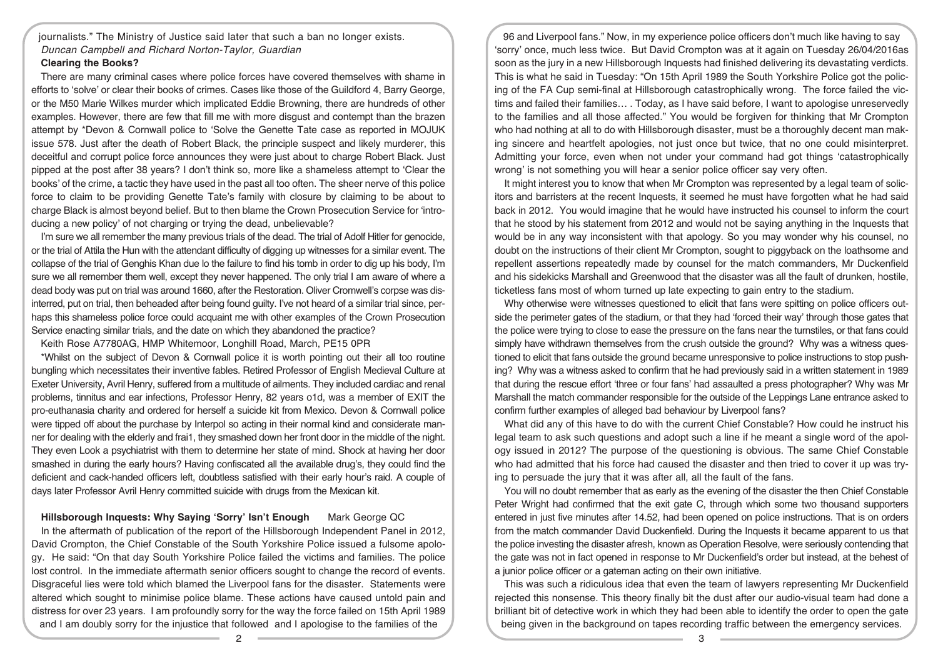journalists." The Ministry of Justice said later that such a ban no longer exists. *Duncan Campbell and Richard Norton-Taylor, Guardian*

# **Clearing the Books?**

There are many criminal cases where police forces have covered themselves with shame in efforts to 'solve' or clear their books of crimes. Cases like those of the Guildford 4, Barry George, or the M50 Marie Wilkes murder which implicated Eddie Browning, there are hundreds of other examples. However, there are few that fill me with more disgust and contempt than the brazen attempt by \*Devon & Cornwall police to 'Solve the Genette Tate case as reported in MOJUK issue 578. Just after the death of Robert Black, the principle suspect and likely murderer, this deceitful and corrupt police force announces they were just about to charge Robert Black. Just pipped at the post after 38 years? I don't think so, more like a shameless attempt to 'Clear the books' of the crime, a tactic they have used in the past all too often. The sheer nerve of this police force to claim to be providing Genette Tate's family with closure by claiming to be about to charge Black is almost beyond belief. But to then blame the Crown Prosecution Service for 'introducing a new policy' of not charging or trying the dead, unbelievable?

I'm sure we all remember the many previous trials of the dead. The trial of Adolf Hitler for genocide, or the trial of Attila the Hun with the attendant difficulty of digging up witnesses for a similar event. The collapse of the trial of Genghis Khan due lo the failure to find his tomb in order to dig up his body, I'm sure we all remember them well, except they never happened. The only trial I am aware of where a dead body was put on trial was around 1660, after the Restoration. Oliver Cromwell's corpse was disinterred, put on trial, then beheaded after being found guilty. I've not heard of a similar trial since, perhaps this shameless police force could acquaint me with other examples of the Crown Prosecution Service enacting similar trials, and the date on which they abandoned the practice?

Keith Rose A7780AG, HMP Whitemoor, Longhill Road, March, PE15 0PR

\*Whilst on the subject of Devon & Cornwall police it is worth pointing out their all too routine bungling which necessitates their inventive fables. Retired Professor of English Medieval Culture at Exeter University, Avril Henry, suffered from a multitude of ailments. They included cardiac and renal problems, tinnitus and ear infections, Professor Henry, 82 years o1d, was a member of EXIT the pro-euthanasia charity and ordered for herself a suicide kit from Mexico. Devon & Cornwall police were tipped off about the purchase by Interpol so acting in their normal kind and considerate manner for dealing with the elderly and frai1, they smashed down her front door in the middle of the night. They even Look a psychiatrist with them to determine her state of mind. Shock at having her door smashed in during the early hours? Having confiscated all the available drug's, they could find the deficient and cack-handed officers left, doubtless satisfied with their early hour's raid. A couple of days later Professor Avril Henry committed suicide with drugs from the Mexican kit.

# **Hillsborough Inquests: Why Saying 'Sorry' Isn't Enough** Mark George QC

In the aftermath of publication of the report of the Hillsborough Independent Panel in 2012, David Crompton, the Chief Constable of the South Yorkshire Police issued a fulsome apology. He said: "On that day South Yorkshire Police failed the victims and families. The police lost control. In the immediate aftermath senior officers sought to change the record of events. Disgraceful lies were told which blamed the Liverpool fans for the disaster. Statements were altered which sought to minimise police blame. These actions have caused untold pain and distress for over 23 years. I am profoundly sorry for the way the force failed on 15th April 1989 and I am doubly sorry for the injustice that followed and I apologise to the families of the

96 and Liverpool fans." Now, in my experience police officers don't much like having to say 'sorry' once, much less twice. But David Crompton was at it again on Tuesday 26/04/2016as soon as the jury in a new Hillsborough Inquests had finished delivering its devastating verdicts. This is what he said in Tuesday: "On 15th April 1989 the South Yorkshire Police got the policing of the FA Cup semi-final at Hillsborough catastrophically wrong. The force failed the victims and failed their families… . Today, as I have said before, I want to apologise unreservedly to the families and all those affected." You would be forgiven for thinking that Mr Crompton who had nothing at all to do with Hillsborough disaster, must be a thoroughly decent man making sincere and heartfelt apologies, not just once but twice, that no one could misinterpret. Admitting your force, even when not under your command had got things 'catastrophically wrong' is not something you will hear a senior police officer say very often.

It might interest you to know that when Mr Crompton was represented by a legal team of solicitors and barristers at the recent Inquests, it seemed he must have forgotten what he had said back in 2012. You would imagine that he would have instructed his counsel to inform the court that he stood by his statement from 2012 and would not be saying anything in the Inquests that would be in any way inconsistent with that apology. So you may wonder why his counsel, no doubt on the instructions of their client Mr Crompton, sought to piggyback on the loathsome and repellent assertions repeatedly made by counsel for the match commanders, Mr Duckenfield and his sidekicks Marshall and Greenwood that the disaster was all the fault of drunken, hostile, ticketless fans most of whom turned up late expecting to gain entry to the stadium.

Why otherwise were witnesses questioned to elicit that fans were spitting on police officers outside the perimeter gates of the stadium, or that they had 'forced their way' through those gates that the police were trying to close to ease the pressure on the fans near the turnstiles, or that fans could simply have withdrawn themselves from the crush outside the ground? Why was a witness questioned to elicit that fans outside the ground became unresponsive to police instructions to stop pushing? Why was a witness asked to confirm that he had previously said in a written statement in 1989 that during the rescue effort 'three or four fans' had assaulted a press photographer? Why was Mr Marshall the match commander responsible for the outside of the Leppings Lane entrance asked to confirm further examples of alleged bad behaviour by Liverpool fans?

What did any of this have to do with the current Chief Constable? How could he instruct his legal team to ask such questions and adopt such a line if he meant a single word of the apology issued in 2012? The purpose of the questioning is obvious. The same Chief Constable who had admitted that his force had caused the disaster and then tried to cover it up was trying to persuade the jury that it was after all, all the fault of the fans.

You will no doubt remember that as early as the evening of the disaster the then Chief Constable Peter Wright had confirmed that the exit gate C, through which some two thousand supporters entered in just five minutes after 14.52, had been opened on police instructions. That is on orders from the match commander David Duckenfield. During the Inquests it became apparent to us that the police investing the disaster afresh, known as Operation Resolve, were seriously contending that the gate was not in fact opened in response to Mr Duckenfield's order but instead, at the behest of a junior police officer or a gateman acting on their own initiative.

This was such a ridiculous idea that even the team of lawyers representing Mr Duckenfield rejected this nonsense. This theory finally bit the dust after our audio-visual team had done a brilliant bit of detective work in which they had been able to identify the order to open the gate being given in the background on tapes recording traffic between the emergency services.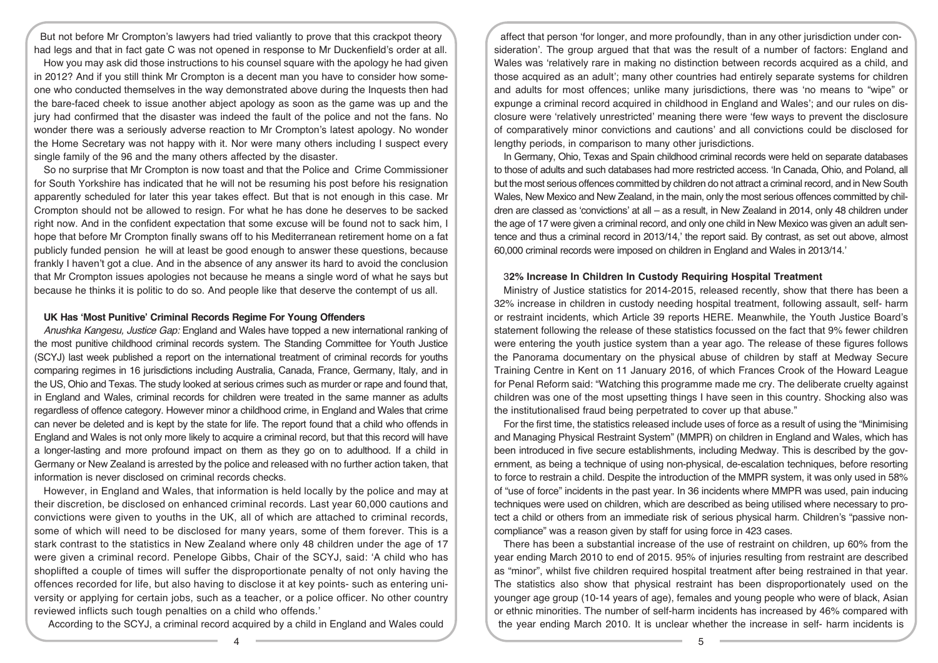But not before Mr Crompton's lawyers had tried valiantly to prove that this crackpot theory had legs and that in fact gate C was not opened in response to Mr Duckenfield's order at all.

How you may ask did those instructions to his counsel square with the apology he had given in 2012? And if you still think Mr Crompton is a decent man you have to consider how someone who conducted themselves in the way demonstrated above during the Inquests then had the bare-faced cheek to issue another abject apology as soon as the game was up and the jury had confirmed that the disaster was indeed the fault of the police and not the fans. No wonder there was a seriously adverse reaction to Mr Crompton's latest apology. No wonder the Home Secretary was not happy with it. Nor were many others including I suspect every single family of the 96 and the many others affected by the disaster.

So no surprise that Mr Crompton is now toast and that the Police and Crime Commissioner for South Yorkshire has indicated that he will not be resuming his post before his resignation apparently scheduled for later this year takes effect. But that is not enough in this case. Mr Crompton should not be allowed to resign. For what he has done he deserves to be sacked right now. And in the confident expectation that some excuse will be found not to sack him, I hope that before Mr Crompton finally swans off to his Mediterranean retirement home on a fat publicly funded pension he will at least be good enough to answer these questions, because frankly I haven't got a clue. And in the absence of any answer its hard to avoid the conclusion that Mr Crompton issues apologies not because he means a single word of what he says but because he thinks it is politic to do so. And people like that deserve the contempt of us all.

### **UK Has 'Most Punitive' Criminal Records Regime For Young Offenders**

*Anushka Kangesu, Justice Gap:* England and Wales have topped a new international ranking of the most punitive childhood criminal records system. The Standing Committee for Youth Justice (SCYJ) last week published a report on the international treatment of criminal records for youths comparing regimes in 16 jurisdictions including Australia, Canada, France, Germany, Italy, and in the US, Ohio and Texas. The study looked at serious crimes such as murder or rape and found that, in England and Wales, criminal records for children were treated in the same manner as adults regardless of offence category. However minor a childhood crime, in England and Wales that crime can never be deleted and is kept by the state for life. The report found that a child who offends in England and Wales is not only more likely to acquire a criminal record, but that this record will have a longer-lasting and more profound impact on them as they go on to adulthood. If a child in Germany or New Zealand is arrested by the police and released with no further action taken, that information is never disclosed on criminal records checks.

However, in England and Wales, that information is held locally by the police and may at their discretion, be disclosed on enhanced criminal records. Last year 60,000 cautions and convictions were given to youths in the UK, all of which are attached to criminal records, some of which will need to be disclosed for many years, some of them forever. This is a stark contrast to the statistics in New Zealand where only 48 children under the age of 17 were given a criminal record. Penelope Gibbs, Chair of the SCYJ, said: 'A child who has shoplifted a couple of times will suffer the disproportionate penalty of not only having the offences recorded for life, but also having to disclose it at key points- such as entering university or applying for certain jobs, such as a teacher, or a police officer. No other country reviewed inflicts such tough penalties on a child who offends.'

According to the SCYJ, a criminal record acquired by a child in England and Wales could

affect that person 'for longer, and more profoundly, than in any other jurisdiction under consideration'. The group argued that that was the result of a number of factors: England and Wales was 'relatively rare in making no distinction between records acquired as a child, and those acquired as an adult'; many other countries had entirely separate systems for children and adults for most offences; unlike many jurisdictions, there was 'no means to "wipe" or expunge a criminal record acquired in childhood in England and Wales'; and our rules on disclosure were 'relatively unrestricted' meaning there were 'few ways to prevent the disclosure of comparatively minor convictions and cautions' and all convictions could be disclosed for lengthy periods, in comparison to many other jurisdictions.

In Germany, Ohio, Texas and Spain childhood criminal records were held on separate databases to those of adults and such databases had more restricted access. 'In Canada, Ohio, and Poland, all but the most serious offences committed by children do not attract a criminal record, and in New South Wales, New Mexico and New Zealand, in the main, only the most serious offences committed by children are classed as 'convictions' at all – as a result, in New Zealand in 2014, only 48 children under the age of 17 were given a criminal record, and only one child in New Mexico was given an adult sentence and thus a criminal record in 2013/14,' the report said. By contrast, as set out above, almost 60,000 criminal records were imposed on children in England and Wales in 2013/14.'

### 3**2% Increase In Children In Custody Requiring Hospital Treatment**

Ministry of Justice statistics for 2014-2015, released recently, show that there has been a 32% increase in children in custody needing hospital treatment, following assault, self- harm or restraint incidents, which Article 39 reports HERE. Meanwhile, the Youth Justice Board's statement following the release of these statistics focussed on the fact that 9% fewer children were entering the youth justice system than a year ago. The release of these figures follows the Panorama documentary on the physical abuse of children by staff at Medway Secure Training Centre in Kent on 11 January 2016, of which Frances Crook of the Howard League for Penal Reform said: "Watching this programme made me cry. The deliberate cruelty against children was one of the most upsetting things I have seen in this country. Shocking also was the institutionalised fraud being perpetrated to cover up that abuse."

For the first time, the statistics released include uses of force as a result of using the "Minimising and Managing Physical Restraint System" (MMPR) on children in England and Wales, which has been introduced in five secure establishments, including Medway. This is described by the government, as being a technique of using non-physical, de-escalation techniques, before resorting to force to restrain a child. Despite the introduction of the MMPR system, it was only used in 58% of "use of force" incidents in the past year. In 36 incidents where MMPR was used, pain inducing techniques were used on children, which are described as being utilised where necessary to protect a child or others from an immediate risk of serious physical harm. Children's "passive noncompliance" was a reason given by staff for using force in 423 cases.

There has been a substantial increase of the use of restraint on children, up 60% from the year ending March 2010 to end of 2015. 95% of injuries resulting from restraint are described as "minor", whilst five children required hospital treatment after being restrained in that year. The statistics also show that physical restraint has been disproportionately used on the younger age group (10-14 years of age), females and young people who were of black, Asian or ethnic minorities. The number of self-harm incidents has increased by 46% compared with the year ending March 2010. It is unclear whether the increase in self- harm incidents is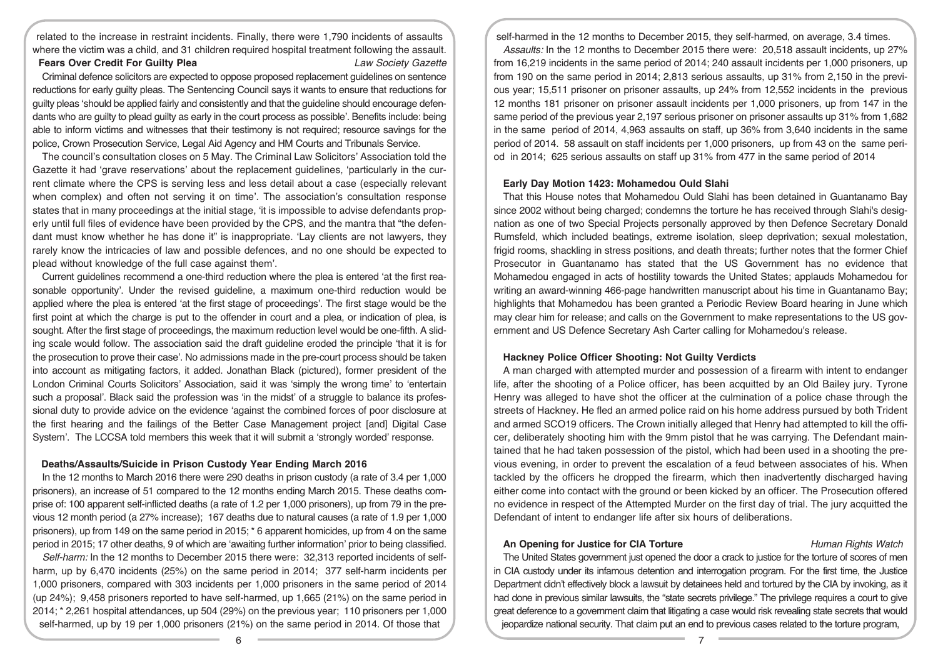related to the increase in restraint incidents. Finally, there were 1,790 incidents of assaults where the victim was a child, and 31 children required hospital treatment following the assault. **Fears Over Credit For Guilty Plea** *Law Society Gazette*

Criminal defence solicitors are expected to oppose proposed replacement guidelines on sentence reductions for early guilty pleas. The Sentencing Council says it wants to ensure that reductions for guilty pleas 'should be applied fairly and consistently and that the guideline should encourage defendants who are guilty to plead guilty as early in the court process as possible'. Benefits include: being able to inform victims and witnesses that their testimony is not required; resource savings for the police, Crown Prosecution Service, Legal Aid Agency and HM Courts and Tribunals Service.

The council's consultation closes on 5 May. The Criminal Law Solicitors' Association told the Gazette it had 'grave reservations' about the replacement guidelines, 'particularly in the current climate where the CPS is serving less and less detail about a case (especially relevant when complex) and often not serving it on time'. The association's consultation response states that in many proceedings at the initial stage, 'it is impossible to advise defendants properly until full files of evidence have been provided by the CPS, and the mantra that "the defendant must know whether he has done it" is inappropriate. 'Lay clients are not lawyers, they rarely know the intricacies of law and possible defences, and no one should be expected to plead without knowledge of the full case against them'.

Current guidelines recommend a one-third reduction where the plea is entered 'at the first reasonable opportunity'. Under the revised guideline, a maximum one-third reduction would be applied where the plea is entered 'at the first stage of proceedings'. The first stage would be the first point at which the charge is put to the offender in court and a plea, or indication of plea, is sought. After the first stage of proceedings, the maximum reduction level would be one-fifth. A sliding scale would follow. The association said the draft guideline eroded the principle 'that it is for the prosecution to prove their case'. No admissions made in the pre-court process should be taken into account as mitigating factors, it added. Jonathan Black (pictured), former president of the London Criminal Courts Solicitors' Association, said it was 'simply the wrong time' to 'entertain such a proposal'. Black said the profession was 'in the midst' of a struggle to balance its professional duty to provide advice on the evidence 'against the combined forces of poor disclosure at the first hearing and the failings of the Better Case Management project [and] Digital Case System'. The LCCSA told members this week that it will submit a 'strongly worded' response.

### **Deaths/Assaults/Suicide in Prison Custody Year Ending March 2016**

In the 12 months to March 2016 there were 290 deaths in prison custody (a rate of 3.4 per 1,000 prisoners), an increase of 51 compared to the 12 months ending March 2015. These deaths comprise of: 100 apparent self-inflicted deaths (a rate of 1.2 per 1,000 prisoners), up from 79 in the previous 12 month period (a 27% increase); 167 deaths due to natural causes (a rate of 1.9 per 1,000 prisoners), up from 149 on the same period in 2015; \* 6 apparent homicides, up from 4 on the same period in 2015; 17 other deaths, 9 of which are 'awaiting further information' prior to being classified.

*Self-harm:* In the 12 months to December 2015 there were: 32,313 reported incidents of selfharm, up by 6,470 incidents (25%) on the same period in 2014; 377 self-harm incidents per 1,000 prisoners, compared with 303 incidents per 1,000 prisoners in the same period of 2014 (up 24%); 9,458 prisoners reported to have self-harmed, up 1,665 (21%) on the same period in 2014; \* 2,261 hospital attendances, up 504 (29%) on the previous year; 110 prisoners per 1,000 self-harmed, up by 19 per 1,000 prisoners (21%) on the same period in 2014. Of those that

self-harmed in the 12 months to December 2015, they self-harmed, on average, 3.4 times. *Assaults:* In the 12 months to December 2015 there were: 20,518 assault incidents, up 27% from 16,219 incidents in the same period of 2014; 240 assault incidents per 1,000 prisoners, up from 190 on the same period in 2014; 2,813 serious assaults, up 31% from 2,150 in the previous year; 15,511 prisoner on prisoner assaults, up 24% from 12,552 incidents in the previous 12 months 181 prisoner on prisoner assault incidents per 1,000 prisoners, up from 147 in the same period of the previous year 2,197 serious prisoner on prisoner assaults up 31% from 1,682 in the same period of 2014, 4,963 assaults on staff, up 36% from 3,640 incidents in the same period of 2014. 58 assault on staff incidents per 1,000 prisoners, up from 43 on the same period in 2014; 625 serious assaults on staff up 31% from 477 in the same period of 2014

### **Early Day Motion 1423: Mohamedou Ould Slahi**

That this House notes that Mohamedou Ould Slahi has been detained in Guantanamo Bay since 2002 without being charged; condemns the torture he has received through Slahi's designation as one of two Special Projects personally approved by then Defence Secretary Donald Rumsfeld, which included beatings, extreme isolation, sleep deprivation; sexual molestation, frigid rooms, shackling in stress positions, and death threats; further notes that the former Chief Prosecutor in Guantanamo has stated that the US Government has no evidence that Mohamedou engaged in acts of hostility towards the United States; applauds Mohamedou for writing an award-winning 466-page handwritten manuscript about his time in Guantanamo Bay; highlights that Mohamedou has been granted a Periodic Review Board hearing in June which may clear him for release; and calls on the Government to make representations to the US government and US Defence Secretary Ash Carter calling for Mohamedou's release.

# **Hackney Police Officer Shooting: Not Guilty Verdicts**

A man charged with attempted murder and possession of a firearm with intent to endanger life, after the shooting of a Police officer, has been acquitted by an Old Bailey jury. Tyrone Henry was alleged to have shot the officer at the culmination of a police chase through the streets of Hackney. He fled an armed police raid on his home address pursued by both Trident and armed SCO19 officers. The Crown initially alleged that Henry had attempted to kill the officer, deliberately shooting him with the 9mm pistol that he was carrying. The Defendant maintained that he had taken possession of the pistol, which had been used in a shooting the previous evening, in order to prevent the escalation of a feud between associates of his. When tackled by the officers he dropped the firearm, which then inadvertently discharged having either come into contact with the ground or been kicked by an officer. The Prosecution offered no evidence in respect of the Attempted Murder on the first day of trial. The jury acquitted the Defendant of intent to endanger life after six hours of deliberations.

### **An Opening for Justice for CIA Torture** *Human Rights Watch*

The United States government just opened the door a crack to justice for the torture of scores of men in CIA custody under its infamous detention and interrogation program. For the first time, the Justice Department didn't effectively block a lawsuit by detainees held and tortured by the CIA by invoking, as it had done in previous similar lawsuits, the "state secrets privilege." The privilege requires a court to give great deference to a government claim that litigating a case would risk revealing state secrets that would jeopardize national security. That claim put an end to previous cases related to the torture program,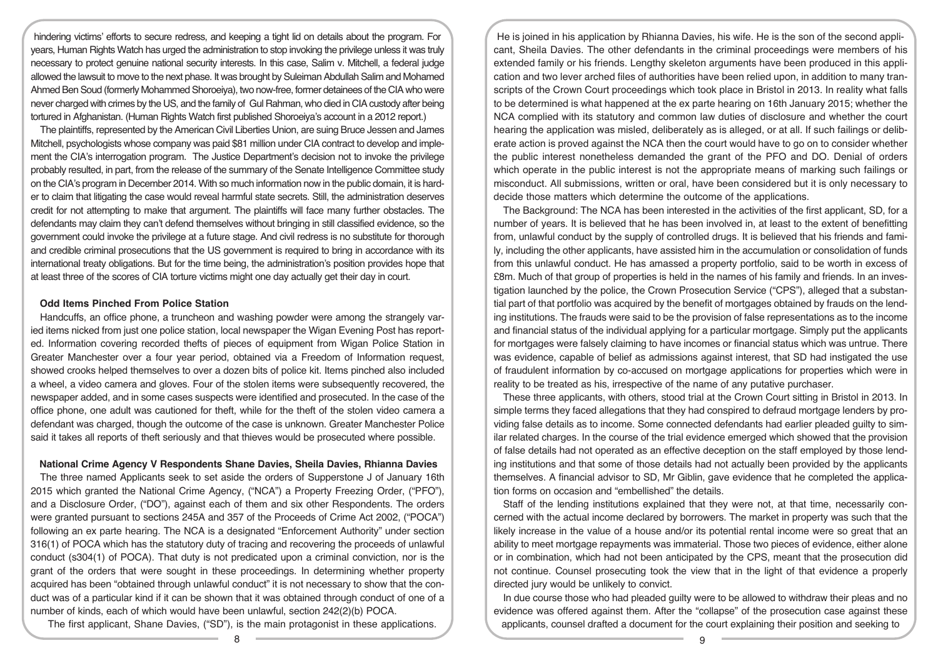hindering victims' efforts to secure redress, and keeping a tight lid on details about the program. For years, Human Rights Watch has urged the administration to stop invoking the privilege unless it was truly necessary to protect genuine national security interests. In this case, Salim v. Mitchell, a federal judge allowed the lawsuit to move to the next phase. It was brought by Suleiman Abdullah Salim and Mohamed Ahmed Ben Soud (formerly Mohammed Shoroeiya), two now-free, former detainees of the CIA who were never charged with crimes by the US, and the family of Gul Rahman, who died in CIA custody after being tortured in Afghanistan. (Human Rights Watch first published Shoroeiya's account in a 2012 report.)

The plaintiffs, represented by the American Civil Liberties Union, are suing Bruce Jessen and James Mitchell, psychologists whose company was paid \$81 million under CIA contract to develop and implement the CIA's interrogation program. The Justice Department's decision not to invoke the privilege probably resulted, in part, from the release of the summary of the Senate Intelligence Committee study on the CIA's program in December 2014. With so much information now in the public domain, it is harder to claim that litigating the case would reveal harmful state secrets. Still, the administration deserves credit for not attempting to make that argument. The plaintiffs will face many further obstacles. The defendants may claim they can't defend themselves without bringing in still classified evidence, so the government could invoke the privilege at a future stage. And civil redress is no substitute for thorough and credible criminal prosecutions that the US government is required to bring in accordance with its international treaty obligations. But for the time being, the administration's position provides hope that at least three of the scores of CIA torture victims might one day actually get their day in court.

### **Odd Items Pinched From Police Station**

Handcuffs, an office phone, a truncheon and washing powder were among the strangely varied items nicked from just one police station, local newspaper the Wigan Evening Post has reported. Information covering recorded thefts of pieces of equipment from Wigan Police Station in Greater Manchester over a four year period, obtained via a Freedom of Information request, showed crooks helped themselves to over a dozen bits of police kit. Items pinched also included a wheel, a video camera and gloves. Four of the stolen items were subsequently recovered, the newspaper added, and in some cases suspects were identified and prosecuted. In the case of the office phone, one adult was cautioned for theft, while for the theft of the stolen video camera a defendant was charged, though the outcome of the case is unknown. Greater Manchester Police said it takes all reports of theft seriously and that thieves would be prosecuted where possible.

### **National Crime Agency V Respondents Shane Davies, Sheila Davies, Rhianna Davies**

The three named Applicants seek to set aside the orders of Supperstone J of January 16th 2015 which granted the National Crime Agency, ("NCA") a Property Freezing Order, ("PFO"), and a Disclosure Order, ("DO"), against each of them and six other Respondents. The orders were granted pursuant to sections 245A and 357 of the Proceeds of Crime Act 2002, ("POCA") following an ex parte hearing. The NCA is a designated "Enforcement Authority" under section 316(1) of POCA which has the statutory duty of tracing and recovering the proceeds of unlawful conduct (s304(1) of POCA). That duty is not predicated upon a criminal conviction, nor is the grant of the orders that were sought in these proceedings. In determining whether property acquired has been "obtained through unlawful conduct" it is not necessary to show that the conduct was of a particular kind if it can be shown that it was obtained through conduct of one of a number of kinds, each of which would have been unlawful, section 242(2)(b) POCA.

The first applicant, Shane Davies, ("SD"), is the main protagonist in these applications.

He is joined in his application by Rhianna Davies, his wife. He is the son of the second applicant, Sheila Davies. The other defendants in the criminal proceedings were members of his extended family or his friends. Lengthy skeleton arguments have been produced in this application and two lever arched files of authorities have been relied upon, in addition to many transcripts of the Crown Court proceedings which took place in Bristol in 2013. In reality what falls to be determined is what happened at the ex parte hearing on 16th January 2015; whether the NCA complied with its statutory and common law duties of disclosure and whether the court hearing the application was misled, deliberately as is alleged, or at all. If such failings or deliberate action is proved against the NCA then the court would have to go on to consider whether the public interest nonetheless demanded the grant of the PFO and DO. Denial of orders which operate in the public interest is not the appropriate means of marking such failings or misconduct. All submissions, written or oral, have been considered but it is only necessary to decide those matters which determine the outcome of the applications.

The Background: The NCA has been interested in the activities of the first applicant, SD, for a number of years. It is believed that he has been involved in, at least to the extent of benefitting from, unlawful conduct by the supply of controlled drugs. It is believed that his friends and family, including the other applicants, have assisted him in the accumulation or consolidation of funds from this unlawful conduct. He has amassed a property portfolio, said to be worth in excess of £8m. Much of that group of properties is held in the names of his family and friends. In an investigation launched by the police, the Crown Prosecution Service ("CPS"), alleged that a substantial part of that portfolio was acquired by the benefit of mortgages obtained by frauds on the lending institutions. The frauds were said to be the provision of false representations as to the income and financial status of the individual applying for a particular mortgage. Simply put the applicants for mortgages were falsely claiming to have incomes or financial status which was untrue. There was evidence, capable of belief as admissions against interest, that SD had instigated the use of fraudulent information by co-accused on mortgage applications for properties which were in reality to be treated as his, irrespective of the name of any putative purchaser.

These three applicants, with others, stood trial at the Crown Court sitting in Bristol in 2013. In simple terms they faced allegations that they had conspired to defraud mortgage lenders by providing false details as to income. Some connected defendants had earlier pleaded guilty to similar related charges. In the course of the trial evidence emerged which showed that the provision of false details had not operated as an effective deception on the staff employed by those lending institutions and that some of those details had not actually been provided by the applicants themselves. A financial advisor to SD, Mr Giblin, gave evidence that he completed the application forms on occasion and "embellished" the details.

Staff of the lending institutions explained that they were not, at that time, necessarily concerned with the actual income declared by borrowers. The market in property was such that the likely increase in the value of a house and/or its potential rental income were so great that an ability to meet mortgage repayments was immaterial. Those two pieces of evidence, either alone or in combination, which had not been anticipated by the CPS, meant that the prosecution did not continue. Counsel prosecuting took the view that in the light of that evidence a properly directed jury would be unlikely to convict.

In due course those who had pleaded guilty were to be allowed to withdraw their pleas and no evidence was offered against them. After the "collapse" of the prosecution case against these applicants, counsel drafted a document for the court explaining their position and seeking to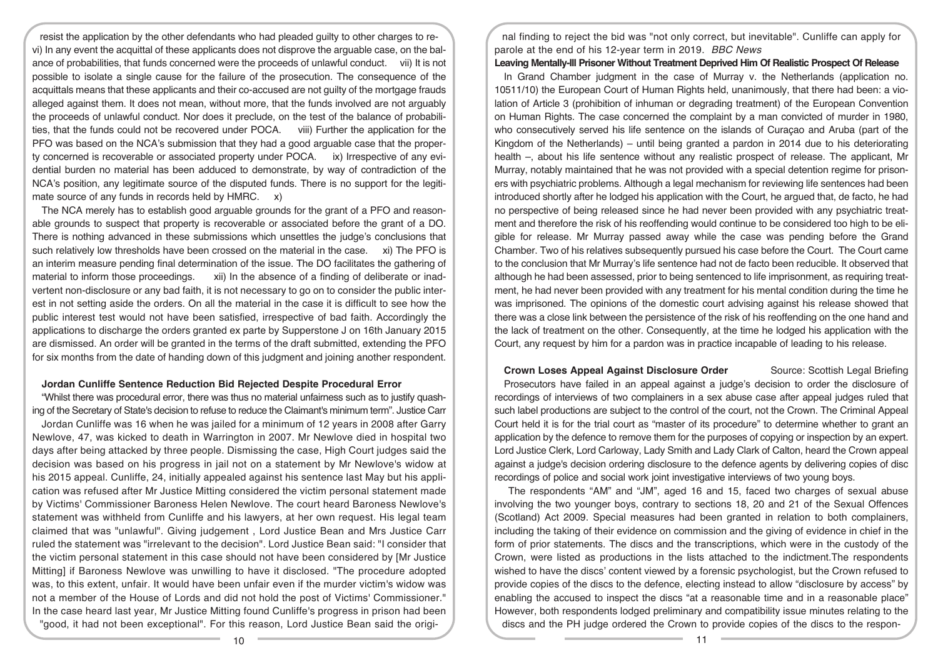resist the application by the other defendants who had pleaded guilty to other charges to revi) In any event the acquittal of these applicants does not disprove the arguable case, on the balance of probabilities, that funds concerned were the proceeds of unlawful conduct. vii) It is not possible to isolate a single cause for the failure of the prosecution. The consequence of the acquittals means that these applicants and their co-accused are not guilty of the mortgage frauds alleged against them. It does not mean, without more, that the funds involved are not arguably the proceeds of unlawful conduct. Nor does it preclude, on the test of the balance of probabilities, that the funds could not be recovered under POCA. viii) Further the application for the PFO was based on the NCA's submission that they had a good arguable case that the property concerned is recoverable or associated property under POCA. ix) Irrespective of any evidential burden no material has been adduced to demonstrate, by way of contradiction of the NCA's position, any legitimate source of the disputed funds. There is no support for the legitimate source of any funds in records held by HMRC. x)

The NCA merely has to establish good arguable grounds for the grant of a PFO and reasonable grounds to suspect that property is recoverable or associated before the grant of a DO. There is nothing advanced in these submissions which unsettles the judge's conclusions that such relatively low thresholds have been crossed on the material in the case. xi) The PFO is an interim measure pending final determination of the issue. The DO facilitates the gathering of material to inform those proceedings. xii) In the absence of a finding of deliberate or inadvertent non-disclosure or any bad faith, it is not necessary to go on to consider the public interest in not setting aside the orders. On all the material in the case it is difficult to see how the public interest test would not have been satisfied, irrespective of bad faith. Accordingly the applications to discharge the orders granted ex parte by Supperstone J on 16th January 2015 are dismissed. An order will be granted in the terms of the draft submitted, extending the PFO for six months from the date of handing down of this judgment and joining another respondent.

# **Jordan Cunliffe Sentence Reduction Bid Rejected Despite Procedural Error**

"Whilst there was procedural error, there was thus no material unfairness such as to justify quashing of the Secretary of State's decision to refuse to reduce the Claimant's minimum term". Justice Carr

Jordan Cunliffe was 16 when he was jailed for a minimum of 12 years in 2008 after Garry Newlove, 47, was kicked to death in Warrington in 2007. Mr Newlove died in hospital two days after being attacked by three people. Dismissing the case, High Court judges said the decision was based on his progress in jail not on a statement by Mr Newlove's widow at his 2015 appeal. Cunliffe, 24, initially appealed against his sentence last May but his application was refused after Mr Justice Mitting considered the victim personal statement made by Victims' Commissioner Baroness Helen Newlove. The court heard Baroness Newlove's statement was withheld from Cunliffe and his lawyers, at her own request. His legal team claimed that was "unlawful". Giving judgement , Lord Justice Bean and Mrs Justice Carr ruled the statement was "irrelevant to the decision". Lord Justice Bean said: "I consider that the victim personal statement in this case should not have been considered by [Mr Justice Mitting] if Baroness Newlove was unwilling to have it disclosed. "The procedure adopted was, to this extent, unfair. It would have been unfair even if the murder victim's widow was not a member of the House of Lords and did not hold the post of Victims' Commissioner." In the case heard last year, Mr Justice Mitting found Cunliffe's progress in prison had been "good, it had not been exceptional". For this reason, Lord Justice Bean said the origi-

nal finding to reject the bid was "not only correct, but inevitable". Cunliffe can apply for parole at the end of his 12-year term in 2019. *BBC News*

# **Leaving Mentally-Ill Prisoner Without Treatment Deprived Him Of Realistic Prospect Of Release**

In Grand Chamber judgment in the case of Murray v. the Netherlands (application no. 10511/10) the European Court of Human Rights held, unanimously, that there had been: a violation of Article 3 (prohibition of inhuman or degrading treatment) of the European Convention on Human Rights. The case concerned the complaint by a man convicted of murder in 1980, who consecutively served his life sentence on the islands of Curaçao and Aruba (part of the Kingdom of the Netherlands) – until being granted a pardon in 2014 due to his deteriorating health –, about his life sentence without any realistic prospect of release. The applicant, Mr Murray, notably maintained that he was not provided with a special detention regime for prisoners with psychiatric problems. Although a legal mechanism for reviewing life sentences had been introduced shortly after he lodged his application with the Court, he argued that, de facto, he had no perspective of being released since he had never been provided with any psychiatric treatment and therefore the risk of his reoffending would continue to be considered too high to be eligible for release. Mr Murray passed away while the case was pending before the Grand Chamber. Two of his relatives subsequently pursued his case before the Court. The Court came to the conclusion that Mr Murray's life sentence had not de facto been reducible. It observed that although he had been assessed, prior to being sentenced to life imprisonment, as requiring treatment, he had never been provided with any treatment for his mental condition during the time he was imprisoned. The opinions of the domestic court advising against his release showed that there was a close link between the persistence of the risk of his reoffending on the one hand and the lack of treatment on the other. Consequently, at the time he lodged his application with the Court, any request by him for a pardon was in practice incapable of leading to his release.

**Crown Loses Appeal Against Disclosure Order** Source: Scottish Legal Briefing Prosecutors have failed in an appeal against a judge's decision to order the disclosure of recordings of interviews of two complainers in a sex abuse case after appeal judges ruled that such label productions are subject to the control of the court, not the Crown. The Criminal Appeal Court held it is for the trial court as "master of its procedure" to determine whether to grant an application by the defence to remove them for the purposes of copying or inspection by an expert. Lord Justice Clerk, Lord Carloway, Lady Smith and Lady Clark of Calton, heard the Crown appeal against a judge's decision ordering disclosure to the defence agents by delivering copies of disc recordings of police and social work joint investigative interviews of two young boys.

The respondents "AM" and "JM", aged 16 and 15, faced two charges of sexual abuse involving the two younger boys, contrary to sections 18, 20 and 21 of the Sexual Offences (Scotland) Act 2009. Special measures had been granted in relation to both complainers, including the taking of their evidence on commission and the giving of evidence in chief in the form of prior statements. The discs and the transcriptions, which were in the custody of the Crown, were listed as productions in the lists attached to the indictment.The respondents wished to have the discs' content viewed by a forensic psychologist, but the Crown refused to provide copies of the discs to the defence, electing instead to allow "disclosure by access" by enabling the accused to inspect the discs "at a reasonable time and in a reasonable place" However, both respondents lodged preliminary and compatibility issue minutes relating to the discs and the PH judge ordered the Crown to provide copies of the discs to the respon-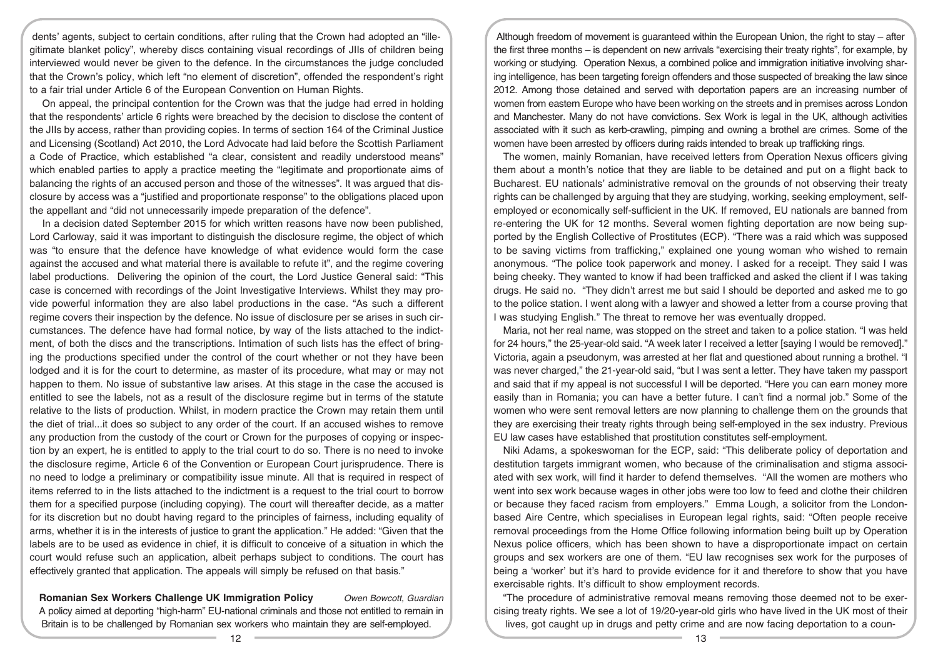dents' agents, subject to certain conditions, after ruling that the Crown had adopted an "illegitimate blanket policy", whereby discs containing visual recordings of JIIs of children being interviewed would never be given to the defence. In the circumstances the judge concluded that the Crown's policy, which left "no element of discretion", offended the respondent's right to a fair trial under Article 6 of the European Convention on Human Rights.

On appeal, the principal contention for the Crown was that the judge had erred in holding that the respondents' article 6 rights were breached by the decision to disclose the content of the JIIs by access, rather than providing copies. In terms of section 164 of the Criminal Justice and Licensing (Scotland) Act 2010, the Lord Advocate had laid before the Scottish Parliament a Code of Practice, which established "a clear, consistent and readily understood means" which enabled parties to apply a practice meeting the "legitimate and proportionate aims of balancing the rights of an accused person and those of the witnesses". It was argued that disclosure by access was a "justified and proportionate response" to the obligations placed upon the appellant and "did not unnecessarily impede preparation of the defence".

In a decision dated September 2015 for which written reasons have now been published, Lord Carloway, said it was important to distinguish the disclosure regime, the object of which was "to ensure that the defence have knowledge of what evidence would form the case against the accused and what material there is available to refute it", and the regime covering label productions. Delivering the opinion of the court, the Lord Justice General said: "This case is concerned with recordings of the Joint Investigative Interviews. Whilst they may provide powerful information they are also label productions in the case. "As such a different regime covers their inspection by the defence. No issue of disclosure per se arises in such circumstances. The defence have had formal notice, by way of the lists attached to the indictment, of both the discs and the transcriptions. Intimation of such lists has the effect of bringing the productions specified under the control of the court whether or not they have been lodged and it is for the court to determine, as master of its procedure, what may or may not happen to them. No issue of substantive law arises. At this stage in the case the accused is entitled to see the labels, not as a result of the disclosure regime but in terms of the statute relative to the lists of production. Whilst, in modern practice the Crown may retain them until the diet of trial...it does so subject to any order of the court. If an accused wishes to remove any production from the custody of the court or Crown for the purposes of copying or inspection by an expert, he is entitled to apply to the trial court to do so. There is no need to invoke the disclosure regime, Article 6 of the Convention or European Court jurisprudence. There is no need to lodge a preliminary or compatibility issue minute. All that is required in respect of items referred to in the lists attached to the indictment is a request to the trial court to borrow them for a specified purpose (including copying). The court will thereafter decide, as a matter for its discretion but no doubt having regard to the principles of fairness, including equality of arms, whether it is in the interests of justice to grant the application." He added: "Given that the labels are to be used as evidence in chief, it is difficult to conceive of a situation in which the court would refuse such an application, albeit perhaps subject to conditions. The court has effectively granted that application. The appeals will simply be refused on that basis."

**Romanian Sex Workers Challenge UK Immigration Policy** *Owen Bowcott, Guardian* A policy aimed at deporting "high-harm" EU-national criminals and those not entitled to remain in Britain is to be challenged by Romanian sex workers who maintain they are self-employed.

Although freedom of movement is guaranteed within the European Union, the right to stay – after the first three months – is dependent on new arrivals "exercising their treaty rights", for example, by working or studying. Operation Nexus, a combined police and immigration initiative involving sharing intelligence, has been targeting foreign offenders and those suspected of breaking the law since 2012. Among those detained and served with deportation papers are an increasing number of women from eastern Europe who have been working on the streets and in premises across London and Manchester. Many do not have convictions. Sex Work is legal in the UK, although activities associated with it such as kerb-crawling, pimping and owning a brothel are crimes. Some of the women have been arrested by officers during raids intended to break up trafficking rings.

The women, mainly Romanian, have received letters from Operation Nexus officers giving them about a month's notice that they are liable to be detained and put on a flight back to Bucharest. EU nationals' administrative removal on the grounds of not observing their treaty rights can be challenged by arguing that they are studying, working, seeking employment, selfemployed or economically self-sufficient in the UK. If removed, EU nationals are banned from re-entering the UK for 12 months. Several women fighting deportation are now being supported by the English Collective of Prostitutes (ECP). "There was a raid which was supposed to be saving victims from trafficking," explained one young woman who wished to remain anonymous. "The police took paperwork and money. I asked for a receipt. They said I was being cheeky. They wanted to know if had been trafficked and asked the client if I was taking drugs. He said no. "They didn't arrest me but said I should be deported and asked me to go to the police station. I went along with a lawyer and showed a letter from a course proving that I was studying English." The threat to remove her was eventually dropped.

Maria, not her real name, was stopped on the street and taken to a police station. "I was held for 24 hours," the 25-year-old said. "A week later I received a letter [saying I would be removed]." Victoria, again a pseudonym, was arrested at her flat and questioned about running a brothel. "I was never charged," the 21-year-old said, "but I was sent a letter. They have taken my passport and said that if my appeal is not successful I will be deported. "Here you can earn money more easily than in Romania; you can have a better future. I can't find a normal job." Some of the women who were sent removal letters are now planning to challenge them on the grounds that they are exercising their treaty rights through being self-employed in the sex industry. Previous EU law cases have established that prostitution constitutes self-employment.

Niki Adams, a spokeswoman for the ECP, said: "This deliberate policy of deportation and destitution targets immigrant women, who because of the criminalisation and stigma associated with sex work, will find it harder to defend themselves. "All the women are mothers who went into sex work because wages in other jobs were too low to feed and clothe their children or because they faced racism from employers." Emma Lough, a solicitor from the Londonbased Aire Centre, which specialises in European legal rights, said: "Often people receive removal proceedings from the Home Office following information being built up by Operation Nexus police officers, which has been shown to have a disproportionate impact on certain groups and sex workers are one of them. "EU law recognises sex work for the purposes of being a 'worker' but it's hard to provide evidence for it and therefore to show that you have exercisable rights. It's difficult to show employment records.

"The procedure of administrative removal means removing those deemed not to be exercising treaty rights. We see a lot of 19/20-year-old girls who have lived in the UK most of their lives, got caught up in drugs and petty crime and are now facing deportation to a coun-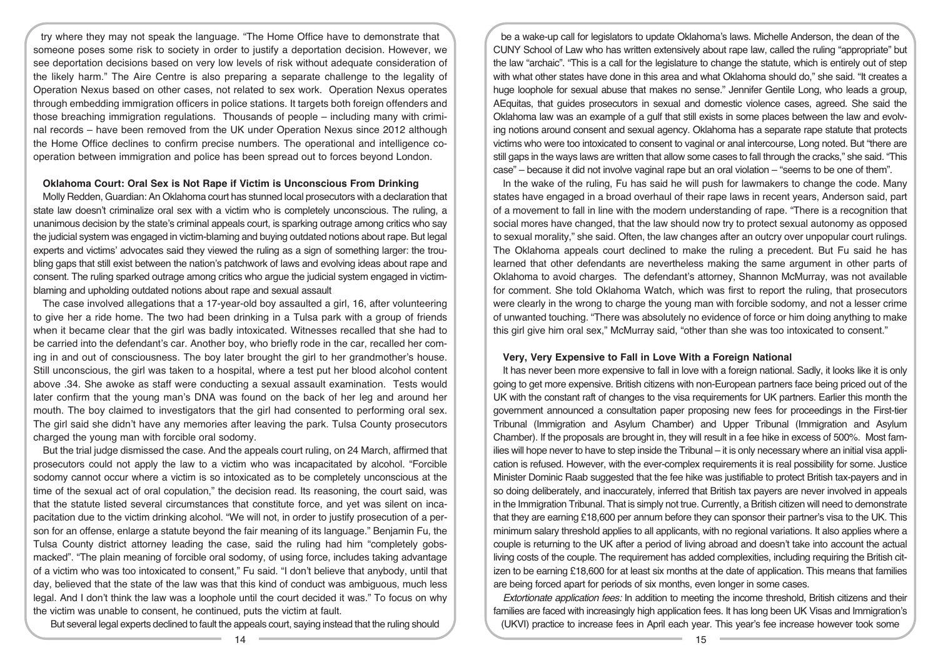try where they may not speak the language. "The Home Office have to demonstrate that someone poses some risk to society in order to justify a deportation decision. However, we see deportation decisions based on very low levels of risk without adequate consideration of the likely harm." The Aire Centre is also preparing a separate challenge to the legality of Operation Nexus based on other cases, not related to sex work. Operation Nexus operates through embedding immigration officers in police stations. It targets both foreign offenders and those breaching immigration regulations. Thousands of people – including many with criminal records – have been removed from the UK under Operation Nexus since 2012 although the Home Office declines to confirm precise numbers. The operational and intelligence cooperation between immigration and police has been spread out to forces beyond London.

### **Oklahoma Court: Oral Sex is Not Rape if Victim is Unconscious From Drinking**

Molly Redden, Guardian: An Oklahoma court has stunned local prosecutors with a declaration that state law doesn't criminalize oral sex with a victim who is completely unconscious. The ruling, a unanimous decision by the state's criminal appeals court, is sparking outrage among critics who say the judicial system was engaged in victim-blaming and buying outdated notions about rape. But legal experts and victims' advocates said they viewed the ruling as a sign of something larger: the troubling gaps that still exist between the nation's patchwork of laws and evolving ideas about rape and consent. The ruling sparked outrage among critics who argue the judicial system engaged in victimblaming and upholding outdated notions about rape and sexual assault

The case involved allegations that a 17-year-old boy assaulted a girl, 16, after volunteering to give her a ride home. The two had been drinking in a Tulsa park with a group of friends when it became clear that the girl was badly intoxicated. Witnesses recalled that she had to be carried into the defendant's car. Another boy, who briefly rode in the car, recalled her coming in and out of consciousness. The boy later brought the girl to her grandmother's house. Still unconscious, the girl was taken to a hospital, where a test put her blood alcohol content above .34. She awoke as staff were conducting a sexual assault examination. Tests would later confirm that the young man's DNA was found on the back of her leg and around her mouth. The boy claimed to investigators that the girl had consented to performing oral sex. The girl said she didn't have any memories after leaving the park. Tulsa County prosecutors charged the young man with forcible oral sodomy.

But the trial judge dismissed the case. And the appeals court ruling, on 24 March, affirmed that prosecutors could not apply the law to a victim who was incapacitated by alcohol. "Forcible sodomy cannot occur where a victim is so intoxicated as to be completely unconscious at the time of the sexual act of oral copulation," the decision read. Its reasoning, the court said, was that the statute listed several circumstances that constitute force, and yet was silent on incapacitation due to the victim drinking alcohol. "We will not, in order to justify prosecution of a person for an offense, enlarge a statute beyond the fair meaning of its language." Benjamin Fu, the Tulsa County district attorney leading the case, said the ruling had him "completely gobsmacked". "The plain meaning of forcible oral sodomy, of using force, includes taking advantage of a victim who was too intoxicated to consent," Fu said. "I don't believe that anybody, until that day, believed that the state of the law was that this kind of conduct was ambiguous, much less legal. And I don't think the law was a loophole until the court decided it was." To focus on why the victim was unable to consent, he continued, puts the victim at fault.

But several legal experts declined to fault the appeals court, saying instead that the ruling should

be a wake-up call for legislators to update Oklahoma's laws. Michelle Anderson, the dean of the CUNY School of Law who has written extensively about rape law, called the ruling "appropriate" but the law "archaic". "This is a call for the legislature to change the statute, which is entirely out of step with what other states have done in this area and what Oklahoma should do," she said. "It creates a huge loophole for sexual abuse that makes no sense." Jennifer Gentile Long, who leads a group, AEquitas, that guides prosecutors in sexual and domestic violence cases, agreed. She said the Oklahoma law was an example of a gulf that still exists in some places between the law and evolving notions around consent and sexual agency. Oklahoma has a separate rape statute that protects victims who were too intoxicated to consent to vaginal or anal intercourse, Long noted. But "there are still gaps in the ways laws are written that allow some cases to fall through the cracks," she said. "This case" – because it did not involve vaginal rape but an oral violation – "seems to be one of them".

In the wake of the ruling, Fu has said he will push for lawmakers to change the code. Many states have engaged in a broad overhaul of their rape laws in recent years, Anderson said, part of a movement to fall in line with the modern understanding of rape. "There is a recognition that social mores have changed, that the law should now try to protect sexual autonomy as opposed to sexual morality," she said. Often, the law changes after an outcry over unpopular court rulings. The Oklahoma appeals court declined to make the ruling a precedent. But Fu said he has learned that other defendants are nevertheless making the same argument in other parts of Oklahoma to avoid charges. The defendant's attorney, Shannon McMurray, was not available for comment. She told Oklahoma Watch, which was first to report the ruling, that prosecutors were clearly in the wrong to charge the young man with forcible sodomy, and not a lesser crime of unwanted touching. "There was absolutely no evidence of force or him doing anything to make this girl give him oral sex," McMurray said, "other than she was too intoxicated to consent."

# **Very, Very Expensive to Fall in Love With a Foreign National**

It has never been more expensive to fall in love with a foreign national. Sadly, it looks like it is only going to get more expensive. British citizens with non-European partners face being priced out of the UK with the constant raft of changes to the visa requirements for UK partners. Earlier this month the government announced a consultation paper proposing new fees for proceedings in the First-tier Tribunal (Immigration and Asylum Chamber) and Upper Tribunal (Immigration and Asylum Chamber). If the proposals are brought in, they will result in a fee hike in excess of 500%. Most families will hope never to have to step inside the Tribunal – it is only necessary where an initial visa application is refused. However, with the ever-complex requirements it is real possibility for some. Justice Minister Dominic Raab suggested that the fee hike was justifiable to protect British tax-payers and in so doing deliberately, and inaccurately, inferred that British tax payers are never involved in appeals in the Immigration Tribunal. That is simply not true. Currently, a British citizen will need to demonstrate that they are earning £18,600 per annum before they can sponsor their partner's visa to the UK. This minimum salary threshold applies to all applicants, with no regional variations. It also applies where a couple is returning to the UK after a period of living abroad and doesn't take into account the actual living costs of the couple. The requirement has added complexities, including requiring the British citizen to be earning £18,600 for at least six months at the date of application. This means that families are being forced apart for periods of six months, even longer in some cases.

*Extortionate application fees:* In addition to meeting the income threshold, British citizens and their families are faced with increasingly high application fees. It has long been UK Visas and Immigration's (UKVI) practice to increase fees in April each year. This year's fee increase however took some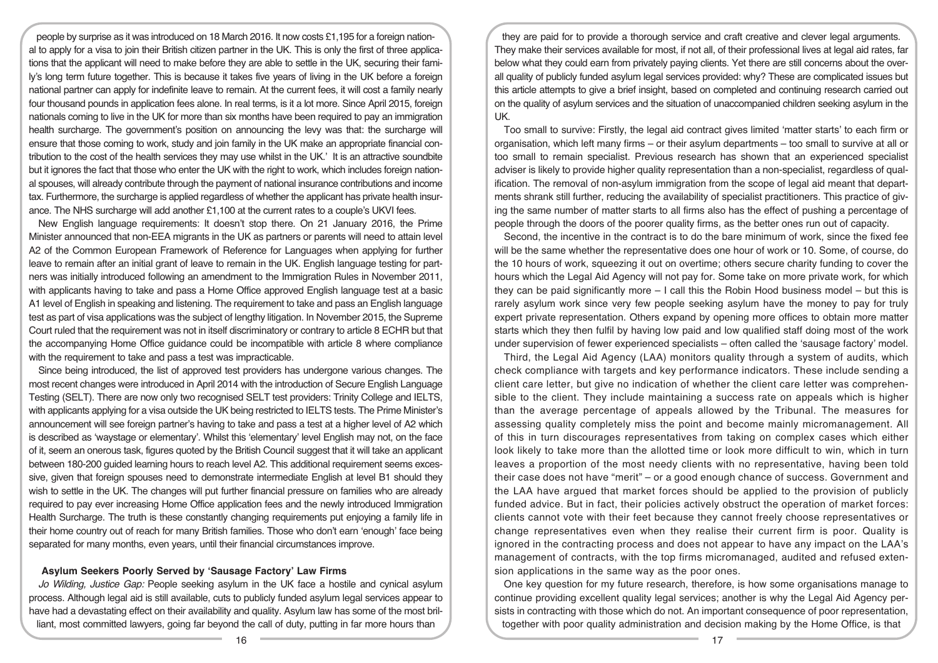people by surprise as it was introduced on 18 March 2016. It now costs £1,195 for a foreign national to apply for a visa to join their British citizen partner in the UK. This is only the first of three applications that the applicant will need to make before they are able to settle in the UK, securing their family's long term future together. This is because it takes five years of living in the UK before a foreign national partner can apply for indefinite leave to remain. At the current fees, it will cost a family nearly four thousand pounds in application fees alone. In real terms, is it a lot more. Since April 2015, foreign nationals coming to live in the UK for more than six months have been required to pay an immigration health surcharge. The government's position on announcing the levy was that: the surcharge will ensure that those coming to work, study and join family in the UK make an appropriate financial contribution to the cost of the health services they may use whilst in the UK.' It is an attractive soundbite but it ignores the fact that those who enter the UK with the right to work, which includes foreign national spouses, will already contribute through the payment of national insurance contributions and income tax. Furthermore, the surcharge is applied regardless of whether the applicant has private health insurance. The NHS surcharge will add another £1,100 at the current rates to a couple's UKVI fees.

New English language requirements: It doesn't stop there. On 21 January 2016, the Prime Minister announced that non-EEA migrants in the UK as partners or parents will need to attain level A2 of the Common European Framework of Reference for Languages when applying for further leave to remain after an initial grant of leave to remain in the UK. English language testing for partners was initially introduced following an amendment to the Immigration Rules in November 2011, with applicants having to take and pass a Home Office approved English language test at a basic A1 level of English in speaking and listening. The requirement to take and pass an English language test as part of visa applications was the subject of lengthy litigation. In November 2015, the Supreme Court ruled that the requirement was not in itself discriminatory or contrary to article 8 ECHR but that the accompanying Home Office guidance could be incompatible with article 8 where compliance with the requirement to take and pass a test was impracticable.

Since being introduced, the list of approved test providers has undergone various changes. The most recent changes were introduced in April 2014 with the introduction of Secure English Language Testing (SELT). There are now only two recognised SELT test providers: Trinity College and IELTS, with applicants applying for a visa outside the UK being restricted to IELTS tests. The Prime Minister's announcement will see foreign partner's having to take and pass a test at a higher level of A2 which is described as 'waystage or elementary'. Whilst this 'elementary' level English may not, on the face of it, seem an onerous task, figures quoted by the British Council suggest that it will take an applicant between 180-200 guided learning hours to reach level A2. This additional requirement seems excessive, given that foreign spouses need to demonstrate intermediate English at level B1 should they wish to settle in the UK. The changes will put further financial pressure on families who are already required to pay ever increasing Home Office application fees and the newly introduced Immigration Health Surcharge. The truth is these constantly changing requirements put enjoying a family life in their home country out of reach for many British families. Those who don't earn 'enough' face being separated for many months, even years, until their financial circumstances improve.

# **Asylum Seekers Poorly Served by 'Sausage Factory' Law Firms**

*Jo Wilding, Justice Gap:* People seeking asylum in the UK face a hostile and cynical asylum process. Although legal aid is still available, cuts to publicly funded asylum legal services appear to have had a devastating effect on their availability and quality. Asylum law has some of the most brilliant, most committed lawyers, going far beyond the call of duty, putting in far more hours than

they are paid for to provide a thorough service and craft creative and clever legal arguments. They make their services available for most, if not all, of their professional lives at legal aid rates, far below what they could earn from privately paying clients. Yet there are still concerns about the overall quality of publicly funded asylum legal services provided: why? These are complicated issues but this article attempts to give a brief insight, based on completed and continuing research carried out on the quality of asylum services and the situation of unaccompanied children seeking asylum in the UK.

Too small to survive: Firstly, the legal aid contract gives limited 'matter starts' to each firm or organisation, which left many firms – or their asylum departments – too small to survive at all or too small to remain specialist. Previous research has shown that an experienced specialist adviser is likely to provide higher quality representation than a non-specialist, regardless of qualification. The removal of non-asylum immigration from the scope of legal aid meant that departments shrank still further, reducing the availability of specialist practitioners. This practice of giving the same number of matter starts to all firms also has the effect of pushing a percentage of people through the doors of the poorer quality firms, as the better ones run out of capacity.

Second, the incentive in the contract is to do the bare minimum of work, since the fixed fee will be the same whether the representative does one hour of work or 10. Some, of course, do the 10 hours of work, squeezing it out on overtime; others secure charity funding to cover the hours which the Legal Aid Agency will not pay for. Some take on more private work, for which they can be paid significantly more – I call this the Robin Hood business model – but this is rarely asylum work since very few people seeking asylum have the money to pay for truly expert private representation. Others expand by opening more offices to obtain more matter starts which they then fulfil by having low paid and low qualified staff doing most of the work under supervision of fewer experienced specialists – often called the 'sausage factory' model.

Third, the Legal Aid Agency (LAA) monitors quality through a system of audits, which check compliance with targets and key performance indicators. These include sending a client care letter, but give no indication of whether the client care letter was comprehensible to the client. They include maintaining a success rate on appeals which is higher than the average percentage of appeals allowed by the Tribunal. The measures for assessing quality completely miss the point and become mainly micromanagement. All of this in turn discourages representatives from taking on complex cases which either look likely to take more than the allotted time or look more difficult to win, which in turn leaves a proportion of the most needy clients with no representative, having been told their case does not have "merit" – or a good enough chance of success. Government and the LAA have argued that market forces should be applied to the provision of publicly funded advice. But in fact, their policies actively obstruct the operation of market forces: clients cannot vote with their feet because they cannot freely choose representatives or change representatives even when they realise their current firm is poor. Quality is ignored in the contracting process and does not appear to have any impact on the LAA's management of contracts, with the top firms micromanaged, audited and refused extension applications in the same way as the poor ones.

One key question for my future research, therefore, is how some organisations manage to continue providing excellent quality legal services; another is why the Legal Aid Agency persists in contracting with those which do not. An important consequence of poor representation, together with poor quality administration and decision making by the Home Office, is that